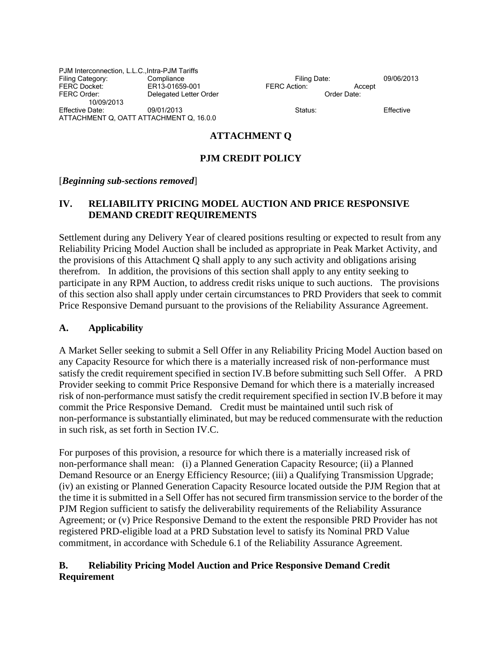PJM Interconnection, L.L.C.,Intra-PJM Tariffs Filing Category: Compliance Compliance Filing Date: 09/06/2013<br>
FERC Docket: ER13-01659-001 FERC Action: Accept FERC Order: Communicated Letter Order Communicate: Communicate: Communicate: Communicate: Communicate: Communicate: Communicate: Communicate: Communicate: Communicate: Communicate: Communicate: Communicate: Communicate: Co 10/09/2013 Effective Date: 09/01/2013 Status: Effective ATTACHMENT Q, OATT ATTACHMENT Q, 16.0.0

FERC Docket: ER13-01659-001 FERC Action: Accept

#### **ATTACHMENT Q**

#### **PJM CREDIT POLICY**

#### [*Beginning sub-sections removed*]

#### **IV. RELIABILITY PRICING MODEL AUCTION AND PRICE RESPONSIVE DEMAND CREDIT REQUIREMENTS**

Settlement during any Delivery Year of cleared positions resulting or expected to result from any Reliability Pricing Model Auction shall be included as appropriate in Peak Market Activity, and the provisions of this Attachment Q shall apply to any such activity and obligations arising therefrom. In addition, the provisions of this section shall apply to any entity seeking to participate in any RPM Auction, to address credit risks unique to such auctions. The provisions of this section also shall apply under certain circumstances to PRD Providers that seek to commit Price Responsive Demand pursuant to the provisions of the Reliability Assurance Agreement.

#### **A. Applicability**

A Market Seller seeking to submit a Sell Offer in any Reliability Pricing Model Auction based on any Capacity Resource for which there is a materially increased risk of non-performance must satisfy the credit requirement specified in section IV.B before submitting such Sell Offer. A PRD Provider seeking to commit Price Responsive Demand for which there is a materially increased risk of non-performance must satisfy the credit requirement specified in section IV.B before it may commit the Price Responsive Demand. Credit must be maintained until such risk of non-performance is substantially eliminated, but may be reduced commensurate with the reduction in such risk, as set forth in Section IV.C.

For purposes of this provision, a resource for which there is a materially increased risk of non-performance shall mean: (i) a Planned Generation Capacity Resource; (ii) a Planned Demand Resource or an Energy Efficiency Resource; (iii) a Qualifying Transmission Upgrade; (iv) an existing or Planned Generation Capacity Resource located outside the PJM Region that at the time it is submitted in a Sell Offer has not secured firm transmission service to the border of the PJM Region sufficient to satisfy the deliverability requirements of the Reliability Assurance Agreement; or (v) Price Responsive Demand to the extent the responsible PRD Provider has not registered PRD-eligible load at a PRD Substation level to satisfy its Nominal PRD Value commitment, in accordance with Schedule 6.1 of the Reliability Assurance Agreement.

### **B. Reliability Pricing Model Auction and Price Responsive Demand Credit Requirement**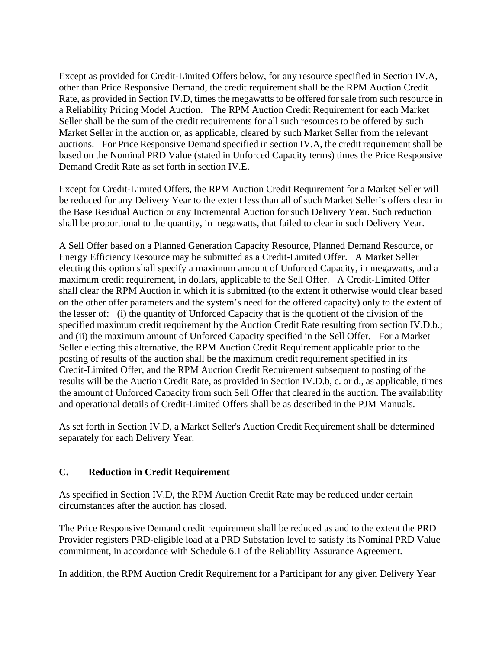Except as provided for Credit-Limited Offers below, for any resource specified in Section IV.A, other than Price Responsive Demand, the credit requirement shall be the RPM Auction Credit Rate, as provided in Section IV.D, times the megawatts to be offered for sale from such resource in a Reliability Pricing Model Auction. The RPM Auction Credit Requirement for each Market Seller shall be the sum of the credit requirements for all such resources to be offered by such Market Seller in the auction or, as applicable, cleared by such Market Seller from the relevant auctions. For Price Responsive Demand specified in section IV.A, the credit requirement shall be based on the Nominal PRD Value (stated in Unforced Capacity terms) times the Price Responsive Demand Credit Rate as set forth in section IV.E.

Except for Credit-Limited Offers, the RPM Auction Credit Requirement for a Market Seller will be reduced for any Delivery Year to the extent less than all of such Market Seller's offers clear in the Base Residual Auction or any Incremental Auction for such Delivery Year. Such reduction shall be proportional to the quantity, in megawatts, that failed to clear in such Delivery Year.

A Sell Offer based on a Planned Generation Capacity Resource, Planned Demand Resource, or Energy Efficiency Resource may be submitted as a Credit-Limited Offer. A Market Seller electing this option shall specify a maximum amount of Unforced Capacity, in megawatts, and a maximum credit requirement, in dollars, applicable to the Sell Offer. A Credit-Limited Offer shall clear the RPM Auction in which it is submitted (to the extent it otherwise would clear based on the other offer parameters and the system's need for the offered capacity) only to the extent of the lesser of: (i) the quantity of Unforced Capacity that is the quotient of the division of the specified maximum credit requirement by the Auction Credit Rate resulting from section IV.D.b.; and (ii) the maximum amount of Unforced Capacity specified in the Sell Offer. For a Market Seller electing this alternative, the RPM Auction Credit Requirement applicable prior to the posting of results of the auction shall be the maximum credit requirement specified in its Credit-Limited Offer, and the RPM Auction Credit Requirement subsequent to posting of the results will be the Auction Credit Rate, as provided in Section IV.D.b, c. or d., as applicable, times the amount of Unforced Capacity from such Sell Offer that cleared in the auction. The availability and operational details of Credit-Limited Offers shall be as described in the PJM Manuals.

As set forth in Section IV.D, a Market Seller's Auction Credit Requirement shall be determined separately for each Delivery Year.

### **C. Reduction in Credit Requirement**

As specified in Section IV.D, the RPM Auction Credit Rate may be reduced under certain circumstances after the auction has closed.

The Price Responsive Demand credit requirement shall be reduced as and to the extent the PRD Provider registers PRD-eligible load at a PRD Substation level to satisfy its Nominal PRD Value commitment, in accordance with Schedule 6.1 of the Reliability Assurance Agreement.

In addition, the RPM Auction Credit Requirement for a Participant for any given Delivery Year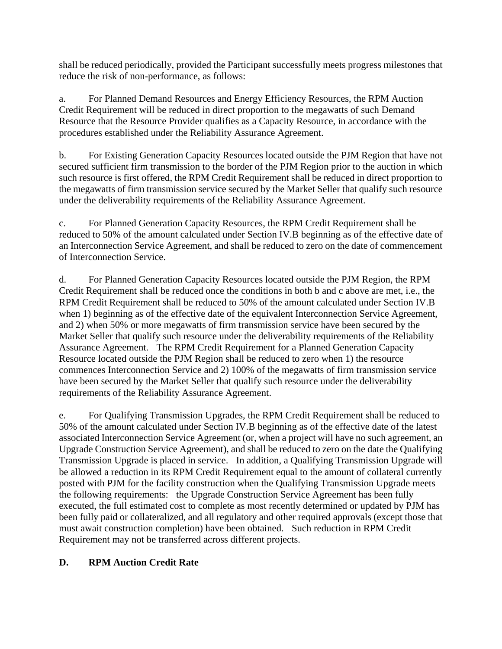shall be reduced periodically, provided the Participant successfully meets progress milestones that reduce the risk of non-performance, as follows:

a. For Planned Demand Resources and Energy Efficiency Resources, the RPM Auction Credit Requirement will be reduced in direct proportion to the megawatts of such Demand Resource that the Resource Provider qualifies as a Capacity Resource, in accordance with the procedures established under the Reliability Assurance Agreement.

b. For Existing Generation Capacity Resources located outside the PJM Region that have not secured sufficient firm transmission to the border of the PJM Region prior to the auction in which such resource is first offered, the RPM Credit Requirement shall be reduced in direct proportion to the megawatts of firm transmission service secured by the Market Seller that qualify such resource under the deliverability requirements of the Reliability Assurance Agreement.

c. For Planned Generation Capacity Resources, the RPM Credit Requirement shall be reduced to 50% of the amount calculated under Section IV.B beginning as of the effective date of an Interconnection Service Agreement, and shall be reduced to zero on the date of commencement of Interconnection Service.

d. For Planned Generation Capacity Resources located outside the PJM Region, the RPM Credit Requirement shall be reduced once the conditions in both b and c above are met, i.e., the RPM Credit Requirement shall be reduced to 50% of the amount calculated under Section IV.B when 1) beginning as of the effective date of the equivalent Interconnection Service Agreement, and 2) when 50% or more megawatts of firm transmission service have been secured by the Market Seller that qualify such resource under the deliverability requirements of the Reliability Assurance Agreement. The RPM Credit Requirement for a Planned Generation Capacity Resource located outside the PJM Region shall be reduced to zero when 1) the resource commences Interconnection Service and 2) 100% of the megawatts of firm transmission service have been secured by the Market Seller that qualify such resource under the deliverability requirements of the Reliability Assurance Agreement.

e. For Qualifying Transmission Upgrades, the RPM Credit Requirement shall be reduced to 50% of the amount calculated under Section IV.B beginning as of the effective date of the latest associated Interconnection Service Agreement (or, when a project will have no such agreement, an Upgrade Construction Service Agreement), and shall be reduced to zero on the date the Qualifying Transmission Upgrade is placed in service. In addition, a Qualifying Transmission Upgrade will be allowed a reduction in its RPM Credit Requirement equal to the amount of collateral currently posted with PJM for the facility construction when the Qualifying Transmission Upgrade meets the following requirements: the Upgrade Construction Service Agreement has been fully executed, the full estimated cost to complete as most recently determined or updated by PJM has been fully paid or collateralized, and all regulatory and other required approvals (except those that must await construction completion) have been obtained. Such reduction in RPM Credit Requirement may not be transferred across different projects.

## **D. RPM Auction Credit Rate**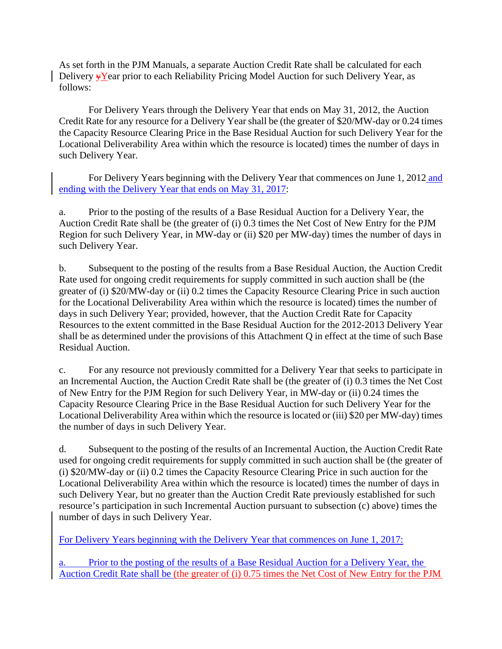As set forth in the PJM Manuals, a separate Auction Credit Rate shall be calculated for each Delivery  $\overline{Y}$  Year prior to each Reliability Pricing Model Auction for such Delivery Year, as follows:

 For Delivery Years through the Delivery Year that ends on May 31, 2012, the Auction Credit Rate for any resource for a Delivery Year shall be (the greater of \$20/MW-day or 0.24 times the Capacity Resource Clearing Price in the Base Residual Auction for such Delivery Year for the Locational Deliverability Area within which the resource is located) times the number of days in such Delivery Year.

For Delivery Years beginning with the Delivery Year that commences on June 1, 2012 and ending with the Delivery Year that ends on May 31, 2017:

a. Prior to the posting of the results of a Base Residual Auction for a Delivery Year, the Auction Credit Rate shall be (the greater of (i) 0.3 times the Net Cost of New Entry for the PJM Region for such Delivery Year, in MW-day or (ii) \$20 per MW-day) times the number of days in such Delivery Year.

b. Subsequent to the posting of the results from a Base Residual Auction, the Auction Credit Rate used for ongoing credit requirements for supply committed in such auction shall be (the greater of (i) \$20/MW-day or (ii) 0.2 times the Capacity Resource Clearing Price in such auction for the Locational Deliverability Area within which the resource is located) times the number of days in such Delivery Year; provided, however, that the Auction Credit Rate for Capacity Resources to the extent committed in the Base Residual Auction for the 2012-2013 Delivery Year shall be as determined under the provisions of this Attachment Q in effect at the time of such Base Residual Auction.

c. For any resource not previously committed for a Delivery Year that seeks to participate in an Incremental Auction, the Auction Credit Rate shall be (the greater of (i) 0.3 times the Net Cost of New Entry for the PJM Region for such Delivery Year, in MW-day or (ii) 0.24 times the Capacity Resource Clearing Price in the Base Residual Auction for such Delivery Year for the Locational Deliverability Area within which the resource is located or (iii) \$20 per MW-day) times the number of days in such Delivery Year.

d. Subsequent to the posting of the results of an Incremental Auction, the Auction Credit Rate used for ongoing credit requirements for supply committed in such auction shall be (the greater of (i) \$20/MW-day or (ii) 0.2 times the Capacity Resource Clearing Price in such auction for the Locational Deliverability Area within which the resource is located) times the number of days in such Delivery Year, but no greater than the Auction Credit Rate previously established for such resource's participation in such Incremental Auction pursuant to subsection (c) above) times the number of days in such Delivery Year.

For Delivery Years beginning with the Delivery Year that commences on June 1, 2017:

a. Prior to the posting of the results of a Base Residual Auction for a Delivery Year, the Auction Credit Rate shall be (the greater of (i) 0.75 times the Net Cost of New Entry for the PJM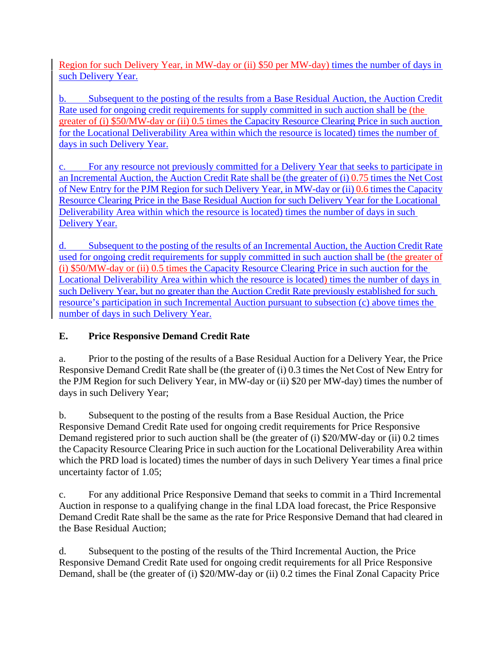Region for such Delivery Year, in MW-day or (ii) \$50 per MW-day) times the number of days in such Delivery Year.

b. Subsequent to the posting of the results from a Base Residual Auction, the Auction Credit Rate used for ongoing credit requirements for supply committed in such auction shall be (the greater of (i) \$50/MW-day or (ii) 0.5 times the Capacity Resource Clearing Price in such auction for the Locational Deliverability Area within which the resource is located) times the number of days in such Delivery Year.

c. For any resource not previously committed for a Delivery Year that seeks to participate in an Incremental Auction, the Auction Credit Rate shall be (the greater of (i) 0.75 times the Net Cost of New Entry for the PJM Region for such Delivery Year, in MW-day or (ii) 0.6 times the Capacity Resource Clearing Price in the Base Residual Auction for such Delivery Year for the Locational Deliverability Area within which the resource is located) times the number of days in such Delivery Year.

d. Subsequent to the posting of the results of an Incremental Auction, the Auction Credit Rate used for ongoing credit requirements for supply committed in such auction shall be (the greater of (i) \$50/MW-day or (ii) 0.5 times the Capacity Resource Clearing Price in such auction for the Locational Deliverability Area within which the resource is located) times the number of days in such Delivery Year, but no greater than the Auction Credit Rate previously established for such resource's participation in such Incremental Auction pursuant to subsection (c) above times the number of days in such Delivery Year.

# **E. Price Responsive Demand Credit Rate**

a. Prior to the posting of the results of a Base Residual Auction for a Delivery Year, the Price Responsive Demand Credit Rate shall be (the greater of (i) 0.3 times the Net Cost of New Entry for the PJM Region for such Delivery Year, in MW-day or (ii) \$20 per MW-day) times the number of days in such Delivery Year;

b. Subsequent to the posting of the results from a Base Residual Auction, the Price Responsive Demand Credit Rate used for ongoing credit requirements for Price Responsive Demand registered prior to such auction shall be (the greater of (i) \$20/MW-day or (ii) 0.2 times the Capacity Resource Clearing Price in such auction for the Locational Deliverability Area within which the PRD load is located) times the number of days in such Delivery Year times a final price uncertainty factor of 1.05;

c. For any additional Price Responsive Demand that seeks to commit in a Third Incremental Auction in response to a qualifying change in the final LDA load forecast, the Price Responsive Demand Credit Rate shall be the same as the rate for Price Responsive Demand that had cleared in the Base Residual Auction;

d. Subsequent to the posting of the results of the Third Incremental Auction, the Price Responsive Demand Credit Rate used for ongoing credit requirements for all Price Responsive Demand, shall be (the greater of (i) \$20/MW-day or (ii) 0.2 times the Final Zonal Capacity Price